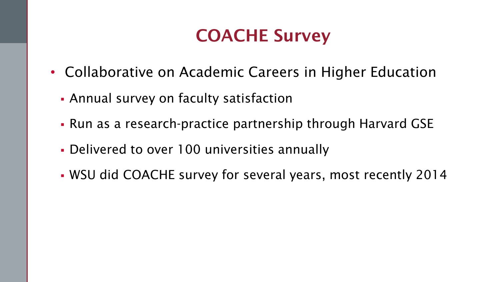### COACHE Survey

- Collaborative on Academic Careers in Higher Education
	- Annual survey on faculty satisfaction
	- Run as a research-practice partnership through Harvard GSE
	- Delivered to over 100 universities annually
	- WSU did COACHE survey for several years, most recently 2014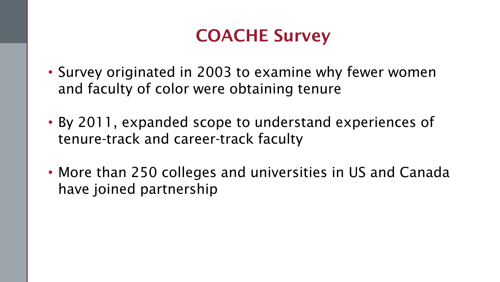## COACHE Survey

- Survey originated in 2003 to examine why fewer women and faculty of color were obtaining tenure
- By 2011, expanded scope to understand experiences of tenure-track and career-track faculty
- More than 250 colleges and universities in US and Canada have joined partnership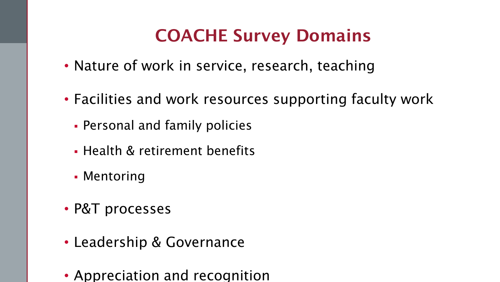# COACHE Survey Domains

- Nature of work in service, research, teaching
- Facilities and work resources supporting faculty work
	- Personal and family policies
	- Health & retirement benefits
	- Mentoring
- P&T processes
- Leadership & Governance
- Appreciation and recognition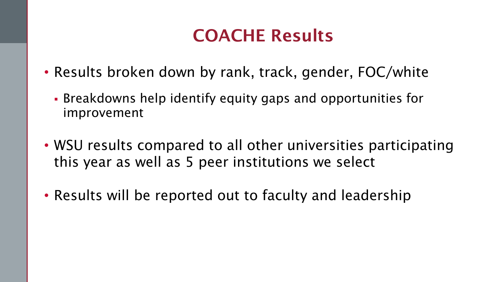## COACHE Results

- Results broken down by rank, track, gender, FOC/white
	- Breakdowns help identify equity gaps and opportunities for improvement
- WSU results compared to all other universities participating this year as well as 5 peer institutions we select
- Results will be reported out to faculty and leadership